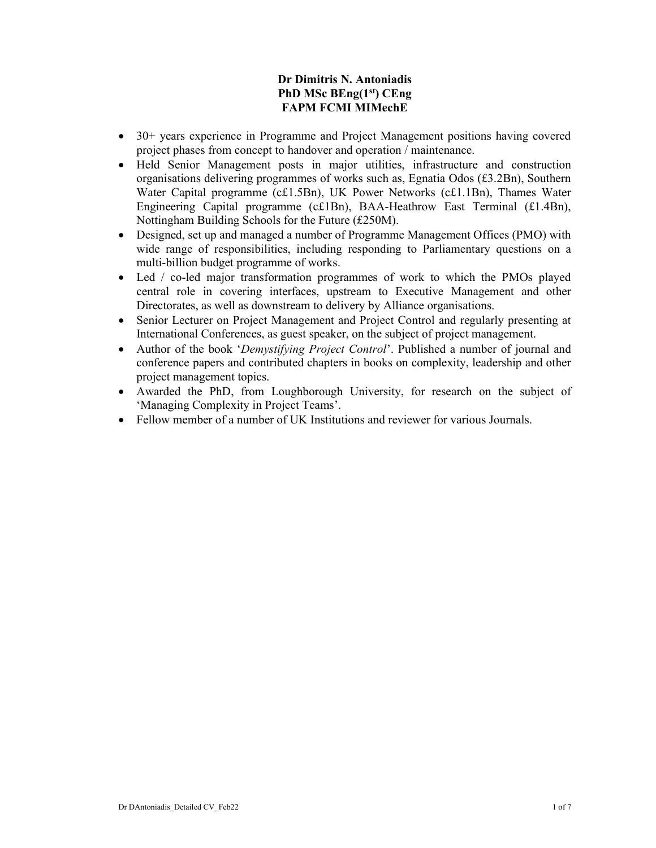# Dr Dimitris N. Antoniadis PhD MSc BEng(1st) CEng FAPM FCMI MIMechE

- 30+ years experience in Programme and Project Management positions having covered project phases from concept to handover and operation / maintenance.
- Held Senior Management posts in major utilities, infrastructure and construction organisations delivering programmes of works such as, Egnatia Odos  $(f3.2Bn)$ , Southern Water Capital programme (c£1.5Bn), UK Power Networks (c£1.1Bn), Thames Water Engineering Capital programme (c£1Bn), BAA-Heathrow East Terminal (£1.4Bn), Nottingham Building Schools for the Future (£250M).
- Designed, set up and managed a number of Programme Management Offices (PMO) with wide range of responsibilities, including responding to Parliamentary questions on a multi-billion budget programme of works.
- Led / co-led major transformation programmes of work to which the PMOs played central role in covering interfaces, upstream to Executive Management and other Directorates, as well as downstream to delivery by Alliance organisations.
- Senior Lecturer on Project Management and Project Control and regularly presenting at International Conferences, as guest speaker, on the subject of project management.
- Author of the book 'Demystifying Project Control'. Published a number of journal and conference papers and contributed chapters in books on complexity, leadership and other project management topics.
- Awarded the PhD, from Loughborough University, for research on the subject of 'Managing Complexity in Project Teams'.
- Fellow member of a number of UK Institutions and reviewer for various Journals.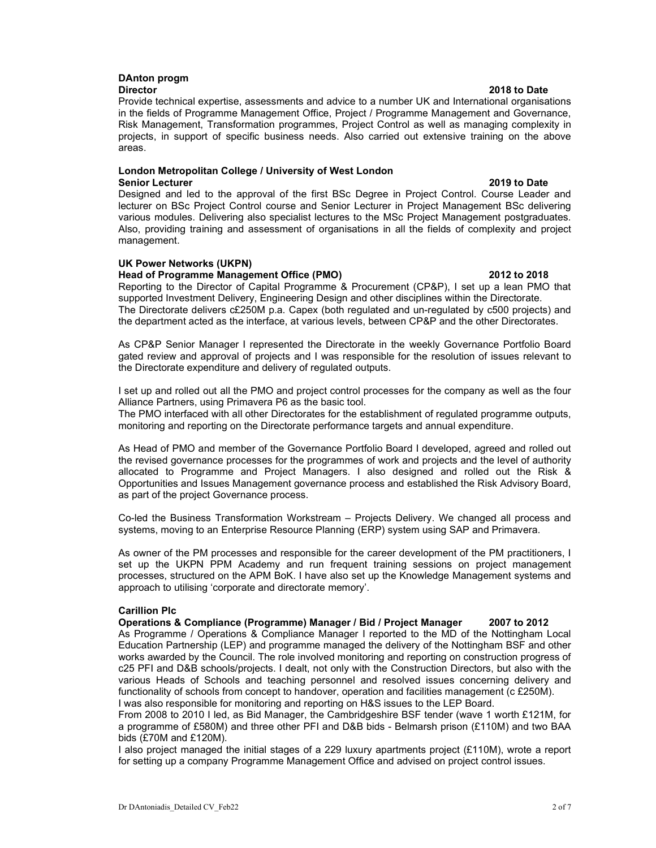#### DAnton progm Director 2018 to Date

Provide technical expertise, assessments and advice to a number UK and International organisations in the fields of Programme Management Office, Project / Programme Management and Governance, Risk Management, Transformation programmes, Project Control as well as managing complexity in projects, in support of specific business needs. Also carried out extensive training on the above areas.

# London Metropolitan College / University of West London

Senior Lecturer 2019 to Date Designed and led to the approval of the first BSc Degree in Project Control. Course Leader and lecturer on BSc Project Control course and Senior Lecturer in Project Management BSc delivering various modules. Delivering also specialist lectures to the MSc Project Management postgraduates. Also, providing training and assessment of organisations in all the fields of complexity and project management.

## UK Power Networks (UKPN)

### Head of Programme Management Office (PMO) 2012 to 2018

Reporting to the Director of Capital Programme & Procurement (CP&P), I set up a lean PMO that supported Investment Delivery, Engineering Design and other disciplines within the Directorate. The Directorate delivers c£250M p.a. Capex (both regulated and un-regulated by c500 projects) and the department acted as the interface, at various levels, between CP&P and the other Directorates.

As CP&P Senior Manager I represented the Directorate in the weekly Governance Portfolio Board gated review and approval of projects and I was responsible for the resolution of issues relevant to the Directorate expenditure and delivery of regulated outputs.

I set up and rolled out all the PMO and project control processes for the company as well as the four Alliance Partners, using Primavera P6 as the basic tool.

The PMO interfaced with all other Directorates for the establishment of regulated programme outputs, monitoring and reporting on the Directorate performance targets and annual expenditure.

As Head of PMO and member of the Governance Portfolio Board I developed, agreed and rolled out the revised governance processes for the programmes of work and projects and the level of authority allocated to Programme and Project Managers. I also designed and rolled out the Risk & Opportunities and Issues Management governance process and established the Risk Advisory Board, as part of the project Governance process.

Co-led the Business Transformation Workstream – Projects Delivery. We changed all process and systems, moving to an Enterprise Resource Planning (ERP) system using SAP and Primavera.

As owner of the PM processes and responsible for the career development of the PM practitioners, I set up the UKPN PPM Academy and run frequent training sessions on project management processes, structured on the APM BoK. I have also set up the Knowledge Management systems and approach to utilising 'corporate and directorate memory'.

### Carillion Plc

Operations & Compliance (Programme) Manager / Bid / Project Manager 2007 to 2012 As Programme / Operations & Compliance Manager I reported to the MD of the Nottingham Local Education Partnership (LEP) and programme managed the delivery of the Nottingham BSF and other works awarded by the Council. The role involved monitoring and reporting on construction progress of c25 PFI and D&B schools/projects. I dealt, not only with the Construction Directors, but also with the various Heads of Schools and teaching personnel and resolved issues concerning delivery and functionality of schools from concept to handover, operation and facilities management (c £250M). I was also responsible for monitoring and reporting on H&S issues to the LEP Board.

From 2008 to 2010 I led, as Bid Manager, the Cambridgeshire BSF tender (wave 1 worth £121M, for a programme of £580M) and three other PFI and D&B bids - Belmarsh prison (£110M) and two BAA bids (£70M and £120M).

I also project managed the initial stages of a 229 luxury apartments project (£110M), wrote a report for setting up a company Programme Management Office and advised on project control issues.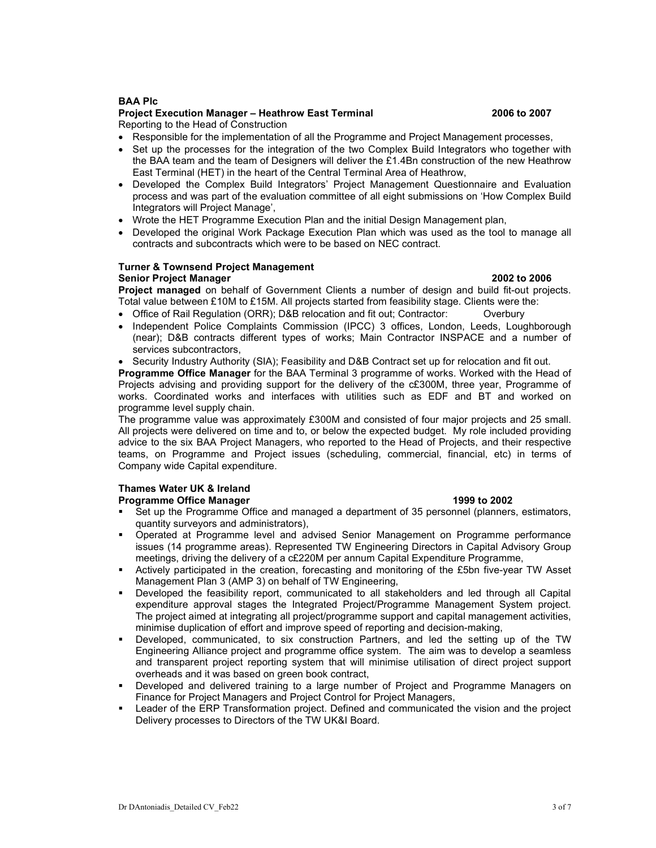### BAA Plc

## Project Execution Manager – Heathrow East Terminal 2006 to 2007

Reporting to the Head of Construction

- Responsible for the implementation of all the Programme and Project Management processes,
- Set up the processes for the integration of the two Complex Build Integrators who together with the BAA team and the team of Designers will deliver the £1.4Bn construction of the new Heathrow East Terminal (HET) in the heart of the Central Terminal Area of Heathrow,
- Developed the Complex Build Integrators' Project Management Questionnaire and Evaluation process and was part of the evaluation committee of all eight submissions on 'How Complex Build Integrators will Project Manage',
- Wrote the HET Programme Execution Plan and the initial Design Management plan,
- Developed the original Work Package Execution Plan which was used as the tool to manage all contracts and subcontracts which were to be based on NEC contract.

#### Turner & Townsend Project Management Senior Project Manager 2002 to 2006

Project managed on behalf of Government Clients a number of design and build fit-out projects. Total value between £10M to £15M. All projects started from feasibility stage. Clients were the:

- Office of Rail Regulation (ORR); D&B relocation and fit out; Contractor: Overbury
- Independent Police Complaints Commission (IPCC) 3 offices, London, Leeds, Loughborough (near); D&B contracts different types of works; Main Contractor INSPACE and a number of services subcontractors,
- Security Industry Authority (SIA); Feasibility and D&B Contract set up for relocation and fit out.

**Programme Office Manager** for the BAA Terminal 3 programme of works. Worked with the Head of Projects advising and providing support for the delivery of the c£300M, three year, Programme of works. Coordinated works and interfaces with utilities such as EDF and BT and worked on programme level supply chain.

The programme value was approximately £300M and consisted of four major projects and 25 small. All projects were delivered on time and to, or below the expected budget. My role included providing advice to the six BAA Project Managers, who reported to the Head of Projects, and their respective teams, on Programme and Project issues (scheduling, commercial, financial, etc) in terms of Company wide Capital expenditure.

## Thames Water UK & Ireland

### **Programme Office Manager 1999 to 2002**

- Set up the Programme Office and managed a department of 35 personnel (planners, estimators, quantity surveyors and administrators),
- Operated at Programme level and advised Senior Management on Programme performance issues (14 programme areas). Represented TW Engineering Directors in Capital Advisory Group meetings, driving the delivery of a c£220M per annum Capital Expenditure Programme,
- Actively participated in the creation, forecasting and monitoring of the £5bn five-year TW Asset Management Plan 3 (AMP 3) on behalf of TW Engineering,
- Developed the feasibility report, communicated to all stakeholders and led through all Capital expenditure approval stages the Integrated Project/Programme Management System project. The project aimed at integrating all project/programme support and capital management activities, minimise duplication of effort and improve speed of reporting and decision-making,
- Developed, communicated, to six construction Partners, and led the setting up of the TW Engineering Alliance project and programme office system. The aim was to develop a seamless and transparent project reporting system that will minimise utilisation of direct project support overheads and it was based on green book contract,
- Developed and delivered training to a large number of Project and Programme Managers on Finance for Project Managers and Project Control for Project Managers,
- Leader of the ERP Transformation project. Defined and communicated the vision and the project Delivery processes to Directors of the TW UK&I Board.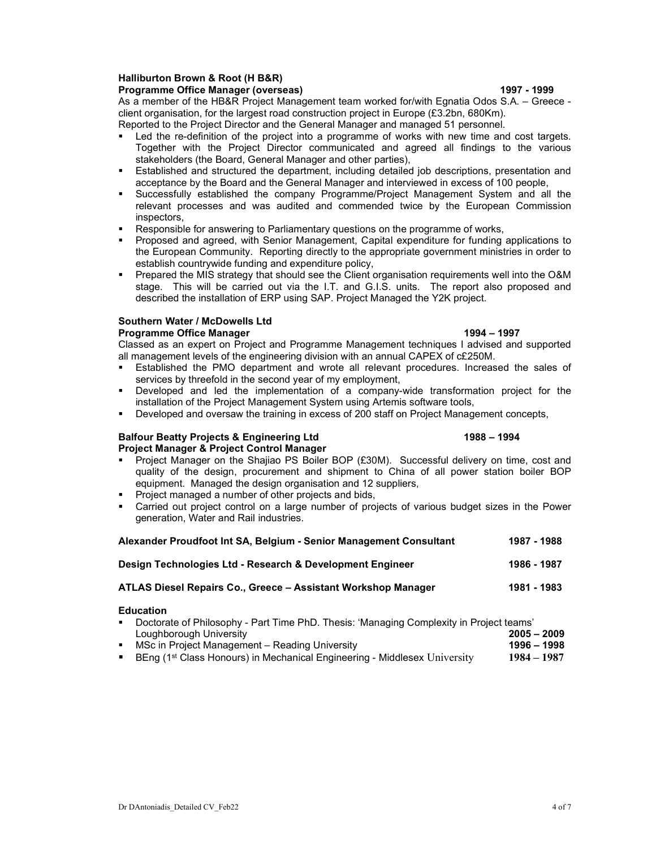#### Halliburton Brown & Root (H B&R) Programme Office Manager (overseas) 1997 - 1999 - 1999 - 1999

# As a member of the HB&R Project Management team worked for/with Egnatia Odos S.A. – Greece client organisation, for the largest road construction project in Europe (£3.2bn, 680Km).

- Reported to the Project Director and the General Manager and managed 51 personnel.
- Led the re-definition of the project into a programme of works with new time and cost targets. Together with the Project Director communicated and agreed all findings to the various stakeholders (the Board, General Manager and other parties),
- Established and structured the department, including detailed job descriptions, presentation and acceptance by the Board and the General Manager and interviewed in excess of 100 people,
- Successfully established the company Programme/Project Management System and all the relevant processes and was audited and commended twice by the European Commission inspectors,
- Responsible for answering to Parliamentary questions on the programme of works,
- Proposed and agreed, with Senior Management, Capital expenditure for funding applications to the European Community. Reporting directly to the appropriate government ministries in order to establish countrywide funding and expenditure policy,
- **Prepared the MIS strategy that should see the Client organisation requirements well into the O&M** stage. This will be carried out via the I.T. and G.I.S. units. The report also proposed and described the installation of ERP using SAP. Project Managed the Y2K project.

## Southern Water / McDowells Ltd

### Programme Office Manager 1997 (1994 – 1997)

Classed as an expert on Project and Programme Management techniques I advised and supported all management levels of the engineering division with an annual CAPEX of c£250M.

- Established the PMO department and wrote all relevant procedures. Increased the sales of services by threefold in the second year of my employment,
- Developed and led the implementation of a company-wide transformation project for the installation of the Project Management System using Artemis software tools,
- Developed and oversaw the training in excess of 200 staff on Project Management concepts,

#### Balfour Beatty Projects & Engineering Ltd 1988 – 1994 Project Manager & Project Control Manager

# Project Manager on the Shajiao PS Boiler BOP (£30M). Successful delivery on time, cost and quality of the design, procurement and shipment to China of all power station boiler BOP

- equipment. Managed the design organisation and 12 suppliers, Project managed a number of other projects and bids,
- Carried out project control on a large number of projects of various budget sizes in the Power generation, Water and Rail industries.

| Alexander Proudfoot Int SA, Belgium - Senior Management Consultant | 1987 - 1988 |
|--------------------------------------------------------------------|-------------|
| Design Technologies Ltd - Research & Development Engineer          | 1986 - 1987 |
| ATLAS Diesel Repairs Co., Greece – Assistant Workshop Manager      | 1981 - 1983 |
| <b>Education</b>                                                   |             |

#### Doctorate of Philosophy - Part Time PhD. Thesis: 'Managing Complexity in Project teams' Loughborough University 2005 – 2009 MSc in Project Management – Reading University 1998 – 1998 – 1998

**BEng (1st Class Honours) in Mechanical Engineering - Middlesex University 1984 – 1987**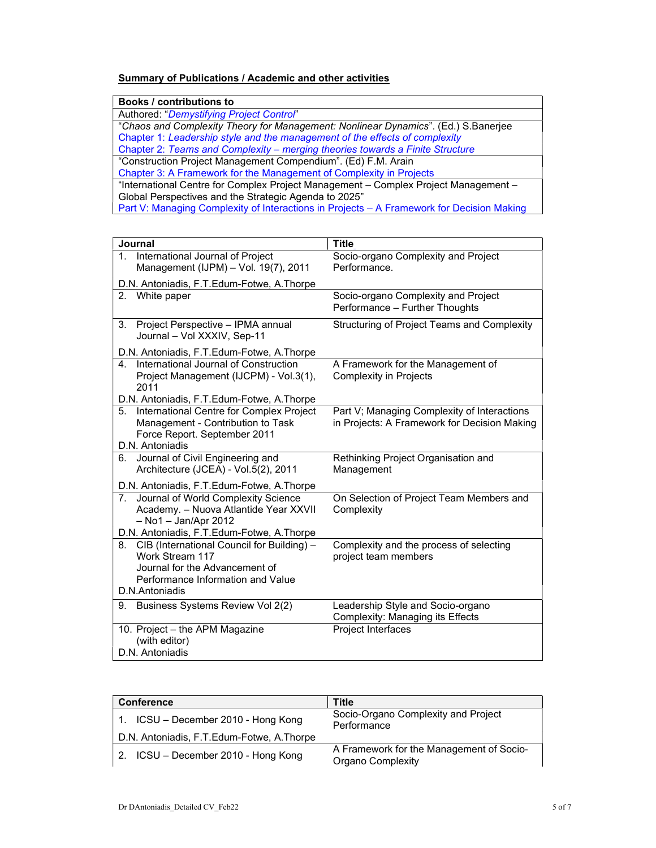# Summary of Publications / Academic and other activities

| <b>Books / contributions to</b>                                                           |  |  |
|-------------------------------------------------------------------------------------------|--|--|
| Authored: "Demystifying Project Control"                                                  |  |  |
| "Chaos and Complexity Theory for Management: Nonlinear Dynamics". (Ed.) S.Banerjee        |  |  |
| Chapter 1: Leadership style and the management of the effects of complexity               |  |  |
| Chapter 2: Teams and Complexity - merging theories towards a Finite Structure             |  |  |
| "Construction Project Management Compendium". (Ed) F.M. Arain                             |  |  |
| Chapter 3: A Framework for the Management of Complexity in Projects                       |  |  |
| "International Centre for Complex Project Management - Complex Project Management -       |  |  |
| Global Perspectives and the Strategic Agenda to 2025"                                     |  |  |
| Part V: Managing Complexity of Interactions in Projects - A Framework for Decision Making |  |  |

| Journal                                                                        | <b>Title</b>                                      |
|--------------------------------------------------------------------------------|---------------------------------------------------|
| International Journal of Project<br>1 <sub>1</sub>                             | Socio-organo Complexity and Project               |
| Management (IJPM) - Vol. 19(7), 2011                                           | Performance.                                      |
| D.N. Antoniadis, F.T. Edum-Fotwe, A.Thorpe                                     |                                                   |
| 2.<br>White paper                                                              | Socio-organo Complexity and Project               |
|                                                                                | Performance - Further Thoughts                    |
| Project Perspective - IPMA annual<br>3.<br>Journal - Vol XXXIV, Sep-11         | Structuring of Project Teams and Complexity       |
| D.N. Antoniadis, F.T. Edum-Fotwe, A.Thorpe                                     |                                                   |
| International Journal of Construction<br>4                                     | A Framework for the Management of                 |
| Project Management (IJCPM) - Vol.3(1),                                         | <b>Complexity in Projects</b>                     |
| 2011                                                                           |                                                   |
| D.N. Antoniadis, F.T. Edum-Fotwe, A.Thorpe                                     |                                                   |
| 5. International Centre for Complex Project                                    | Part V; Managing Complexity of Interactions       |
| Management - Contribution to Task                                              | in Projects: A Framework for Decision Making      |
| Force Report. September 2011                                                   |                                                   |
| D.N. Antoniadis                                                                |                                                   |
| Journal of Civil Engineering and<br>6.<br>Architecture (JCEA) - Vol.5(2), 2011 | Rethinking Project Organisation and<br>Management |
|                                                                                |                                                   |
| D.N. Antoniadis, F.T. Edum-Fotwe, A.Thorpe                                     |                                                   |
| Journal of World Complexity Science<br>7.                                      | On Selection of Project Team Members and          |
| Academy. - Nuova Atlantide Year XXVII                                          | Complexity                                        |
| $-$ No1 $-$ Jan/Apr 2012                                                       |                                                   |
| D.N. Antoniadis, F.T.Edum-Fotwe, A.Thorpe                                      |                                                   |
| 8. CIB (International Council for Building) -                                  | Complexity and the process of selecting           |
| Work Stream 117<br>Journal for the Advancement of                              | project team members                              |
| Performance Information and Value                                              |                                                   |
| D.N.Antoniadis                                                                 |                                                   |
|                                                                                |                                                   |
| Business Systems Review Vol 2(2)<br>9.                                         | Leadership Style and Socio-organo                 |
|                                                                                | <b>Complexity: Managing its Effects</b>           |
| 10. Project - the APM Magazine                                                 | Project Interfaces                                |
| (with editor)                                                                  |                                                   |
| D.N. Antoniadis                                                                |                                                   |

| <b>Conference</b>                          | Title                                                                |
|--------------------------------------------|----------------------------------------------------------------------|
| 1. ICSU – December 2010 - Hong Kong        | Socio-Organo Complexity and Project<br>Performance                   |
| D.N. Antoniadis, F.T. Edum-Fotwe, A.Thorpe |                                                                      |
| 2. ICSU - December 2010 - Hong Kong        | A Framework for the Management of Socio-<br><b>Organo Complexity</b> |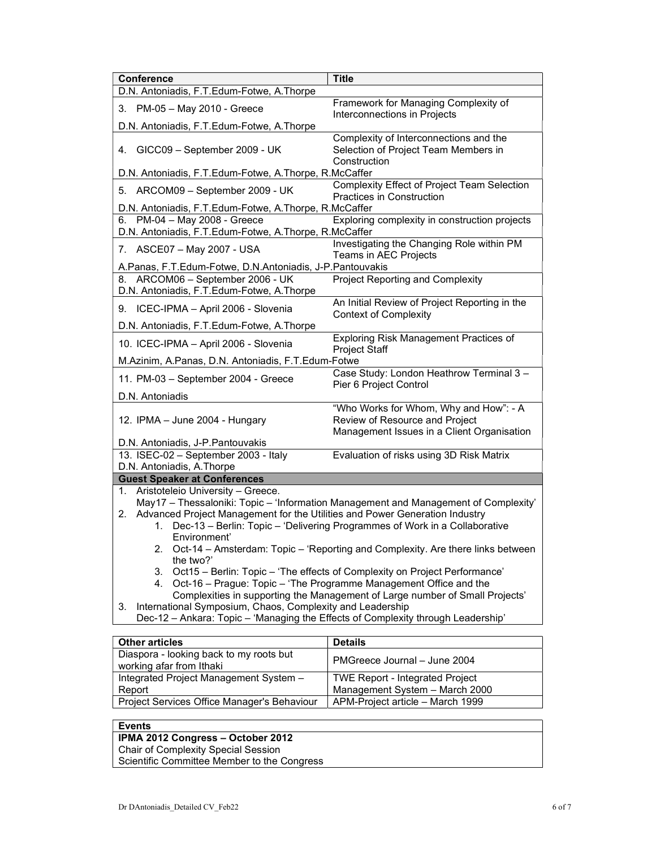| Conference                                                                                                                                              | <b>Title</b>                                                                                                           |  |
|---------------------------------------------------------------------------------------------------------------------------------------------------------|------------------------------------------------------------------------------------------------------------------------|--|
| D.N. Antoniadis, F.T. Edum-Fotwe, A.Thorpe                                                                                                              |                                                                                                                        |  |
| 3. PM-05 - May 2010 - Greece                                                                                                                            | Framework for Managing Complexity of                                                                                   |  |
| D.N. Antoniadis, F.T.Edum-Fotwe, A.Thorpe                                                                                                               | Interconnections in Projects                                                                                           |  |
| 4. GICC09 - September 2009 - UK                                                                                                                         | Complexity of Interconnections and the<br>Selection of Project Team Members in<br>Construction                         |  |
| D.N. Antoniadis, F.T.Edum-Fotwe, A.Thorpe, R.McCaffer                                                                                                   |                                                                                                                        |  |
| 5. ARCOM09 - September 2009 - UK                                                                                                                        | Complexity Effect of Project Team Selection<br>Practices in Construction                                               |  |
| D.N. Antoniadis, F.T.Edum-Fotwe, A.Thorpe, R.McCaffer                                                                                                   |                                                                                                                        |  |
| 6. PM-04 - May 2008 - Greece<br>D.N. Antoniadis, F.T.Edum-Fotwe, A.Thorpe, R.McCaffer                                                                   | Exploring complexity in construction projects                                                                          |  |
| 7. ASCE07 - May 2007 - USA                                                                                                                              | Investigating the Changing Role within PM<br>Teams in AEC Projects                                                     |  |
| A.Panas, F.T.Edum-Fotwe, D.N.Antoniadis, J-P.Pantouvakis                                                                                                |                                                                                                                        |  |
| 8. ARCOM06 - September 2006 - UK<br>D.N. Antoniadis, F.T.Edum-Fotwe, A.Thorpe                                                                           | <b>Project Reporting and Complexity</b>                                                                                |  |
| 9. ICEC-IPMA - April 2006 - Slovenia                                                                                                                    | An Initial Review of Project Reporting in the<br><b>Context of Complexity</b>                                          |  |
| D.N. Antoniadis, F.T.Edum-Fotwe, A.Thorpe                                                                                                               |                                                                                                                        |  |
| 10. ICEC-IPMA - April 2006 - Slovenia                                                                                                                   | Exploring Risk Management Practices of<br><b>Project Staff</b>                                                         |  |
| M.Azinim, A.Panas, D.N. Antoniadis, F.T.Edum-Fotwe                                                                                                      |                                                                                                                        |  |
| 11. PM-03 - September 2004 - Greece                                                                                                                     | Case Study: London Heathrow Terminal 3 -<br>Pier 6 Project Control                                                     |  |
| D.N. Antoniadis                                                                                                                                         |                                                                                                                        |  |
| 12. IPMA - June 2004 - Hungary                                                                                                                          | "Who Works for Whom, Why and How": - A<br>Review of Resource and Project<br>Management Issues in a Client Organisation |  |
| D.N. Antoniadis, J-P. Pantouvakis                                                                                                                       |                                                                                                                        |  |
| 13. ISEC-02 - September 2003 - Italy                                                                                                                    | Evaluation of risks using 3D Risk Matrix                                                                               |  |
| D.N. Antoniadis, A.Thorpe                                                                                                                               |                                                                                                                        |  |
| <b>Guest Speaker at Conferences</b><br>Aristoteleio University - Greece.<br>1.                                                                          |                                                                                                                        |  |
|                                                                                                                                                         | May17 - Thessaloniki: Topic - 'Information Management and Management of Complexity'                                    |  |
| Advanced Project Management for the Utilities and Power Generation Industry<br>2.                                                                       |                                                                                                                        |  |
| 1.                                                                                                                                                      | Dec-13 - Berlin: Topic - 'Delivering Programmes of Work in a Collaborative                                             |  |
| Environment'                                                                                                                                            |                                                                                                                        |  |
| 2. Oct-14 - Amsterdam: Topic - 'Reporting and Complexity. Are there links between<br>the two?'                                                          |                                                                                                                        |  |
| Oct15 - Berlin: Topic - 'The effects of Complexity on Project Performance'<br>3.                                                                        |                                                                                                                        |  |
| Oct-16 - Prague: Topic - 'The Programme Management Office and the<br>4.<br>Complexities in supporting the Management of Large number of Small Projects' |                                                                                                                        |  |
| International Symposium, Chaos, Complexity and Leadership<br>3.                                                                                         |                                                                                                                        |  |
| Dec-12 - Ankara: Topic - 'Managing the Effects of Complexity through Leadership'                                                                        |                                                                                                                        |  |

| <b>Other articles</b>                                               | <b>Details</b>                         |
|---------------------------------------------------------------------|----------------------------------------|
| Diaspora - looking back to my roots but<br>working afar from Ithaki | PMGreece Journal - June 2004           |
| Integrated Project Management System -                              | <b>TWE Report - Integrated Project</b> |
| Report                                                              | Management System - March 2000         |
| Project Services Office Manager's Behaviour                         | APM-Project article - March 1999       |

# Events

### IPMA 2012 Congress – October 2012

Chair of Complexity Special Session

Scientific Committee Member to the Congress